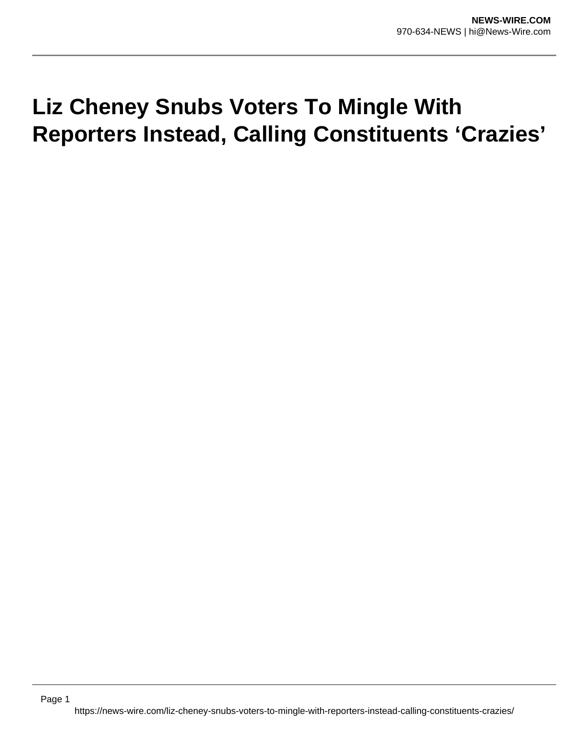## **Liz Cheney Snubs Voters To Mingle With Reporters Instead, Calling Constituents 'Crazies'**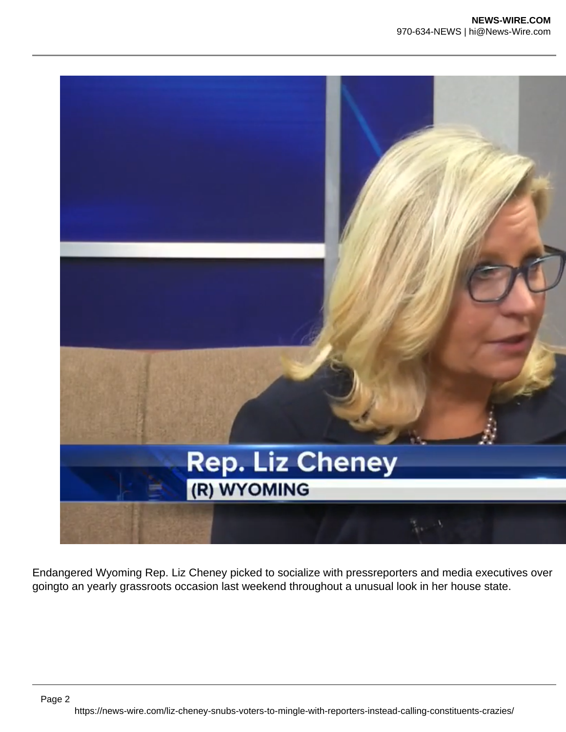

Endangered Wyoming Rep. Liz Cheney picked to socialize with pressreporters and media executives over goingto an yearly grassroots occasion last weekend throughout a unusual look in her house state.

https://news-wire.com/liz-cheney-snubs-voters-to-mingle-with-reporters-instead-calling-constituents-crazies/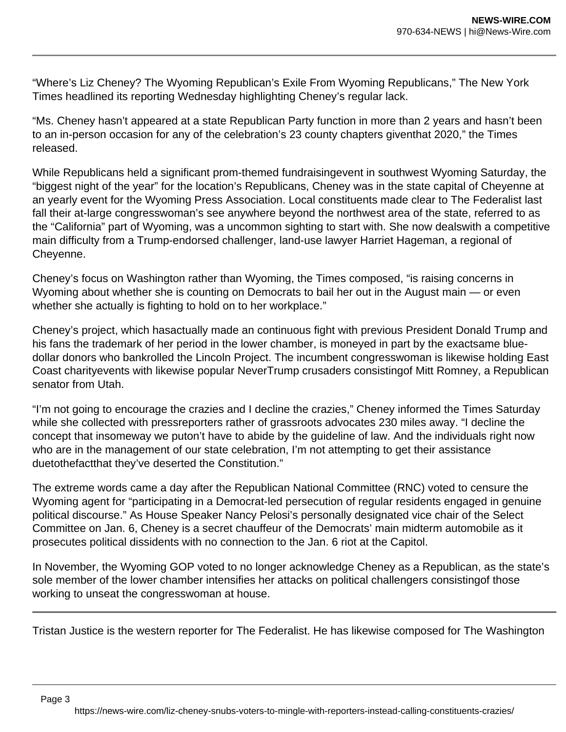"Where's Liz Cheney? The Wyoming Republican's Exile From Wyoming Republicans," The New York Times headlined its reporting Wednesday highlighting Cheney's regular lack.

"Ms. Cheney hasn't appeared at a state Republican Party function in more than 2 years and hasn't been to an in-person occasion for any of the celebration's 23 county chapters giventhat 2020," the Times released.

While Republicans held a significant prom-themed fundraisingevent in southwest Wyoming Saturday, the "biggest night of the year" for the location's Republicans, Cheney was in the state capital of Cheyenne at an yearly event for the Wyoming Press Association. Local constituents made clear to The Federalist last fall their at-large congresswoman's see anywhere beyond the northwest area of the state, referred to as the "California" part of Wyoming, was a uncommon sighting to start with. She now dealswith a competitive main difficulty from a Trump-endorsed challenger, land-use lawyer Harriet Hageman, a regional of Cheyenne.

Cheney's focus on Washington rather than Wyoming, the Times composed, "is raising concerns in Wyoming about whether she is counting on Democrats to bail her out in the August main — or even whether she actually is fighting to hold on to her workplace."

Cheney's project, which hasactually made an continuous fight with previous President Donald Trump and his fans the trademark of her period in the lower chamber, is moneyed in part by the exactsame bluedollar donors who bankrolled the Lincoln Project. The incumbent congresswoman is likewise holding East Coast charityevents with likewise popular NeverTrump crusaders consistingof Mitt Romney, a Republican senator from Utah.

"I'm not going to encourage the crazies and I decline the crazies," Cheney informed the Times Saturday while she collected with pressreporters rather of grassroots advocates 230 miles away. "I decline the concept that insomeway we puton't have to abide by the guideline of law. And the individuals right now who are in the management of our state celebration, I'm not attempting to get their assistance duetothefactthat they've deserted the Constitution."

The extreme words came a day after the Republican National Committee (RNC) voted to censure the Wyoming agent for "participating in a Democrat-led persecution of regular residents engaged in genuine political discourse." As House Speaker Nancy Pelosi's personally designated vice chair of the Select Committee on Jan. 6, Cheney is a secret chauffeur of the Democrats' main midterm automobile as it prosecutes political dissidents with no connection to the Jan. 6 riot at the Capitol.

In November, the Wyoming GOP voted to no longer acknowledge Cheney as a Republican, as the state's sole member of the lower chamber intensifies her attacks on political challengers consistingof those working to unseat the congresswoman at house.

Tristan Justice is the western reporter for The Federalist. He has likewise composed for The Washington

Page 3